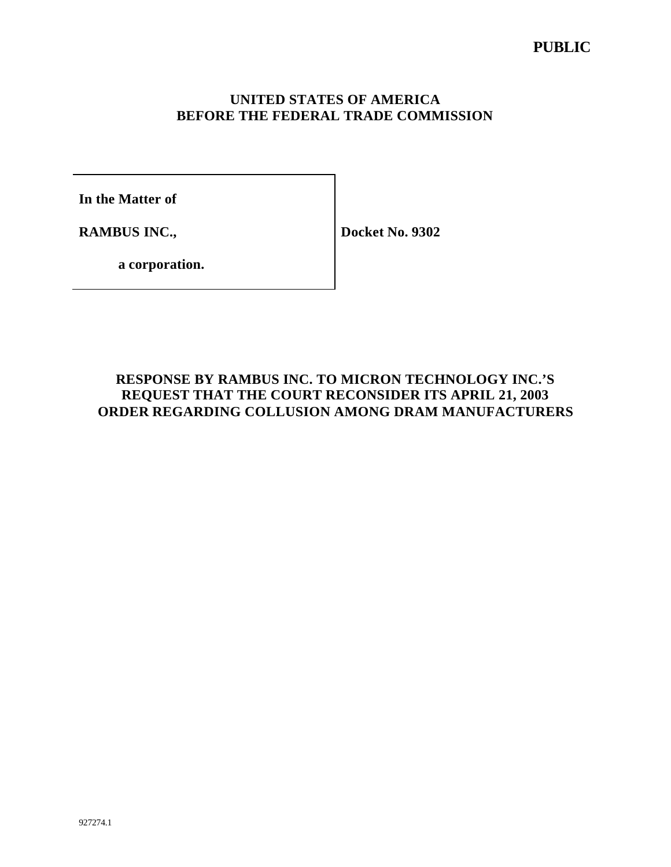## **UNITED STATES OF AMERICA BEFORE THE FEDERAL TRADE COMMISSION**

**In the Matter of**

**RAMBUS INC.,**

**Docket No. 9302**

**a corporation.**

# **RESPONSE BY RAMBUS INC. TO MICRON TECHNOLOGY INC.'S REQUEST THAT THE COURT RECONSIDER ITS APRIL 21, 2003 ORDER REGARDING COLLUSION AMONG DRAM MANUFACTURERS**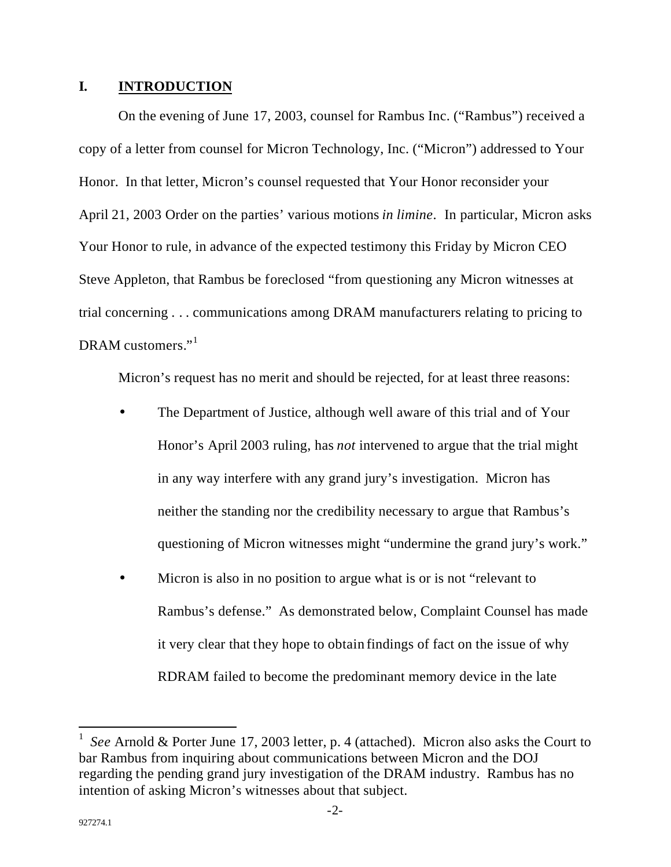### **I. INTRODUCTION**

On the evening of June 17, 2003, counsel for Rambus Inc. ("Rambus") received a copy of a letter from counsel for Micron Technology, Inc. ("Micron") addressed to Your Honor. In that letter, Micron's counsel requested that Your Honor reconsider your April 21, 2003 Order on the parties' various motions *in limine*. In particular, Micron asks Your Honor to rule, in advance of the expected testimony this Friday by Micron CEO Steve Appleton, that Rambus be foreclosed "from questioning any Micron witnesses at trial concerning . . . communications among DRAM manufacturers relating to pricing to DRAM customers."<sup>1</sup>

Micron's request has no merit and should be rejected, for at least three reasons:

- The Department of Justice, although well aware of this trial and of Your Honor's April 2003 ruling, has *not* intervened to argue that the trial might in any way interfere with any grand jury's investigation. Micron has neither the standing nor the credibility necessary to argue that Rambus's questioning of Micron witnesses might "undermine the grand jury's work."
- Micron is also in no position to argue what is or is not "relevant to" Rambus's defense." As demonstrated below, Complaint Counsel has made it very clear that they hope to obtain findings of fact on the issue of why RDRAM failed to become the predominant memory device in the late

 $\overline{a}$ 

<sup>1</sup> *See* Arnold & Porter June 17, 2003 letter, p. 4 (attached). Micron also asks the Court to bar Rambus from inquiring about communications between Micron and the DOJ regarding the pending grand jury investigation of the DRAM industry. Rambus has no intention of asking Micron's witnesses about that subject.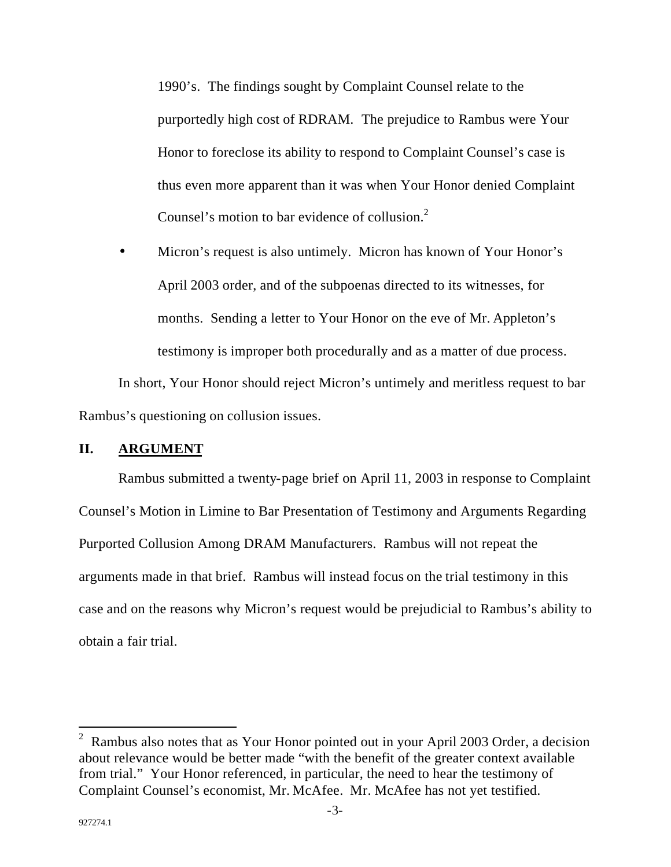1990's. The findings sought by Complaint Counsel relate to the purportedly high cost of RDRAM. The prejudice to Rambus were Your Honor to foreclose its ability to respond to Complaint Counsel's case is thus even more apparent than it was when Your Honor denied Complaint Counsel's motion to bar evidence of collusion.<sup>2</sup>

• Micron's request is also untimely. Micron has known of Your Honor's April 2003 order, and of the subpoenas directed to its witnesses, for months. Sending a letter to Your Honor on the eve of Mr. Appleton's testimony is improper both procedurally and as a matter of due process.

In short, Your Honor should reject Micron's untimely and meritless request to bar Rambus's questioning on collusion issues.

#### **II. ARGUMENT**

Rambus submitted a twenty-page brief on April 11, 2003 in response to Complaint Counsel's Motion in Limine to Bar Presentation of Testimony and Arguments Regarding Purported Collusion Among DRAM Manufacturers. Rambus will not repeat the arguments made in that brief. Rambus will instead focus on the trial testimony in this case and on the reasons why Micron's request would be prejudicial to Rambus's ability to obtain a fair trial.

 $\overline{a}$ 

<sup>&</sup>lt;sup>2</sup> Rambus also notes that as Your Honor pointed out in your April 2003 Order, a decision about relevance would be better made "with the benefit of the greater context available from trial." Your Honor referenced, in particular, the need to hear the testimony of Complaint Counsel's economist, Mr. McAfee. Mr. McAfee has not yet testified.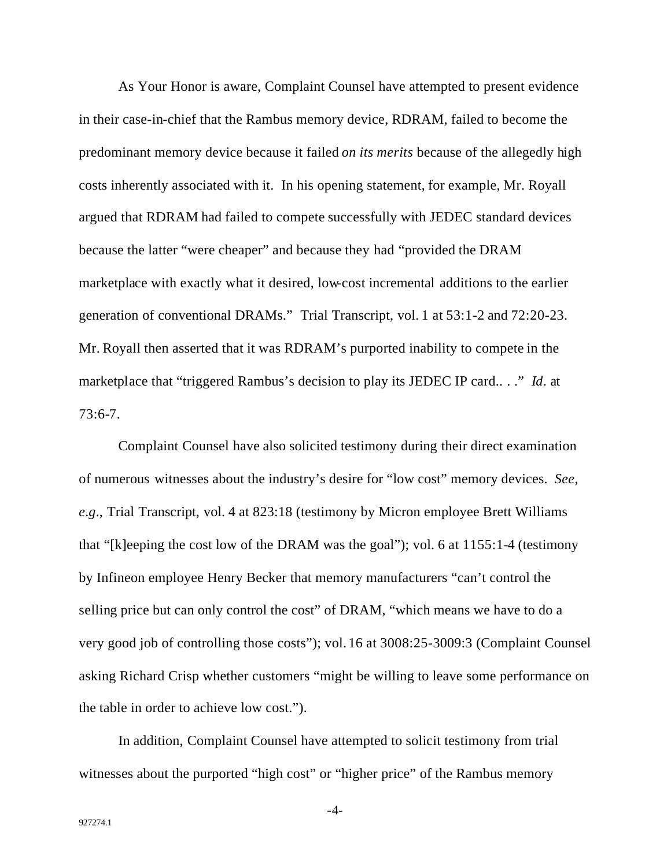As Your Honor is aware, Complaint Counsel have attempted to present evidence in their case-in-chief that the Rambus memory device, RDRAM, failed to become the predominant memory device because it failed *on its merits* because of the allegedly high costs inherently associated with it. In his opening statement, for example, Mr. Royall argued that RDRAM had failed to compete successfully with JEDEC standard devices because the latter "were cheaper" and because they had "provided the DRAM marketplace with exactly what it desired, low-cost incremental additions to the earlier generation of conventional DRAMs." Trial Transcript, vol. 1 at 53:1-2 and 72:20-23. Mr. Royall then asserted that it was RDRAM's purported inability to compete in the marketplace that "triggered Rambus's decision to play its JEDEC IP card.. . ." *Id*. at 73:6-7.

Complaint Counsel have also solicited testimony during their direct examination of numerous witnesses about the industry's desire for "low cost" memory devices. *See, e.g.*, Trial Transcript, vol. 4 at 823:18 (testimony by Micron employee Brett Williams that "[k]eeping the cost low of the DRAM was the goal"); vol. 6 at 1155:1-4 (testimony by Infineon employee Henry Becker that memory manufacturers "can't control the selling price but can only control the cost" of DRAM, "which means we have to do a very good job of controlling those costs"); vol. 16 at 3008:25-3009:3 (Complaint Counsel asking Richard Crisp whether customers "might be willing to leave some performance on the table in order to achieve low cost.").

In addition, Complaint Counsel have attempted to solicit testimony from trial witnesses about the purported "high cost" or "higher price" of the Rambus memory

-4-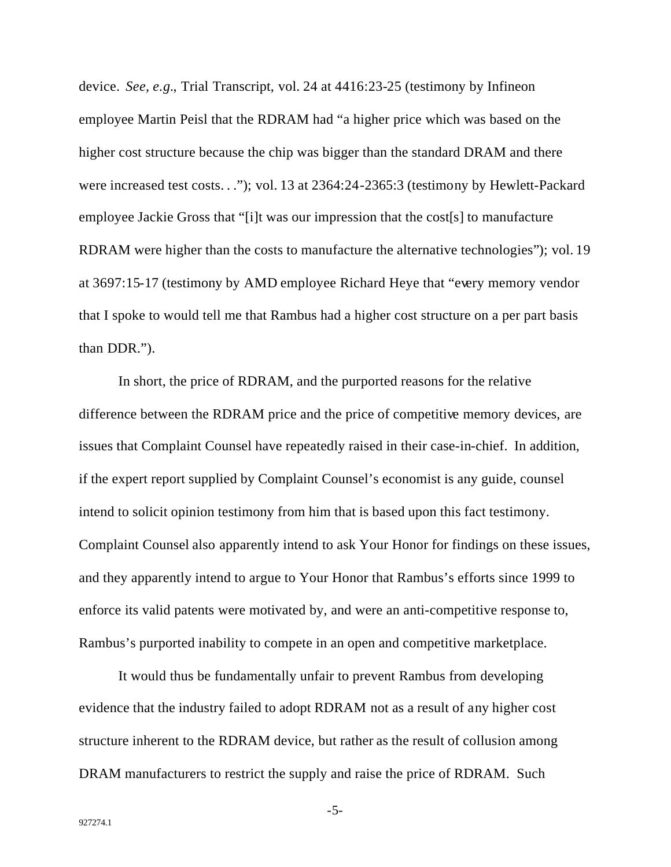device. *See, e.g.*, Trial Transcript, vol. 24 at 4416:23-25 (testimony by Infineon employee Martin Peisl that the RDRAM had "a higher price which was based on the higher cost structure because the chip was bigger than the standard DRAM and there were increased test costs. . ."); vol. 13 at 2364:24-2365:3 (testimony by Hewlett-Packard employee Jackie Gross that "[i]t was our impression that the cost[s] to manufacture RDRAM were higher than the costs to manufacture the alternative technologies"); vol. 19 at 3697:15-17 (testimony by AMD employee Richard Heye that "every memory vendor that I spoke to would tell me that Rambus had a higher cost structure on a per part basis than DDR.").

In short, the price of RDRAM, and the purported reasons for the relative difference between the RDRAM price and the price of competitive memory devices, are issues that Complaint Counsel have repeatedly raised in their case-in-chief. In addition, if the expert report supplied by Complaint Counsel's economist is any guide, counsel intend to solicit opinion testimony from him that is based upon this fact testimony. Complaint Counsel also apparently intend to ask Your Honor for findings on these issues, and they apparently intend to argue to Your Honor that Rambus's efforts since 1999 to enforce its valid patents were motivated by, and were an anti-competitive response to, Rambus's purported inability to compete in an open and competitive marketplace.

It would thus be fundamentally unfair to prevent Rambus from developing evidence that the industry failed to adopt RDRAM not as a result of any higher cost structure inherent to the RDRAM device, but rather as the result of collusion among DRAM manufacturers to restrict the supply and raise the price of RDRAM. Such

-5-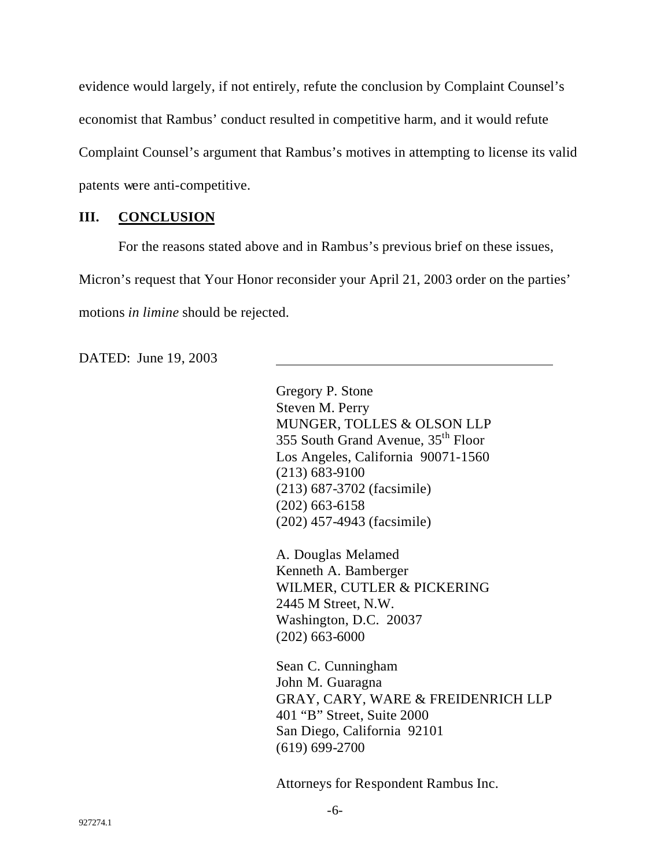evidence would largely, if not entirely, refute the conclusion by Complaint Counsel's economist that Rambus' conduct resulted in competitive harm, and it would refute Complaint Counsel's argument that Rambus's motives in attempting to license its valid patents were anti-competitive.

### **III. CONCLUSION**

For the reasons stated above and in Rambus's previous brief on these issues, Micron's request that Your Honor reconsider your April 21, 2003 order on the parties' motions *in limine* should be rejected.

DATED: June 19, 2003

Gregory P. Stone Steven M. Perry MUNGER, TOLLES & OLSON LLP 355 South Grand Avenue, 35th Floor Los Angeles, California 90071-1560 (213) 683-9100 (213) 687-3702 (facsimile) (202) 663-6158 (202) 457-4943 (facsimile)

A. Douglas Melamed Kenneth A. Bamberger WILMER, CUTLER & PICKERING 2445 M Street, N.W. Washington, D.C. 20037 (202) 663-6000

Sean C. Cunningham John M. Guaragna GRAY, CARY, WARE & FREIDENRICH LLP 401 "B" Street, Suite 2000 San Diego, California 92101 (619) 699-2700

Attorneys for Respondent Rambus Inc.